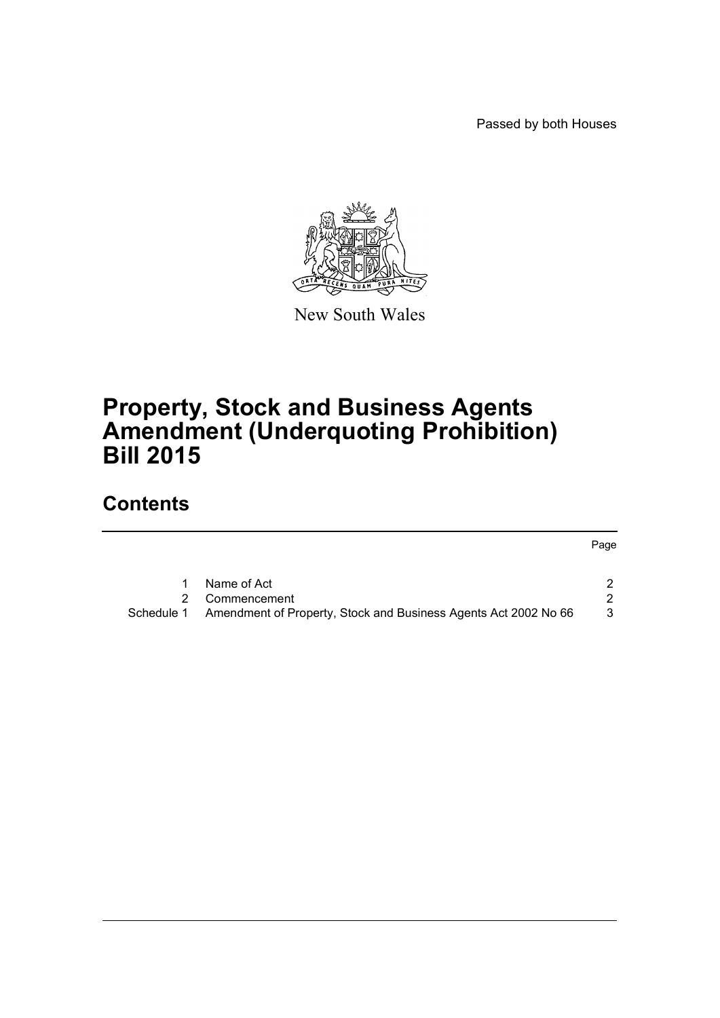Passed by both Houses

Page



New South Wales

# **Property, Stock and Business Agents Amendment (Underquoting Prohibition) Bill 2015**

## **Contents**

[1 Name of Act 2](#page-2-0) [2 Commencement 2](#page-2-1) 2 [Schedule 1 Amendment of Property, Stock and Business Agents Act 2002 No 66 3](#page-3-0)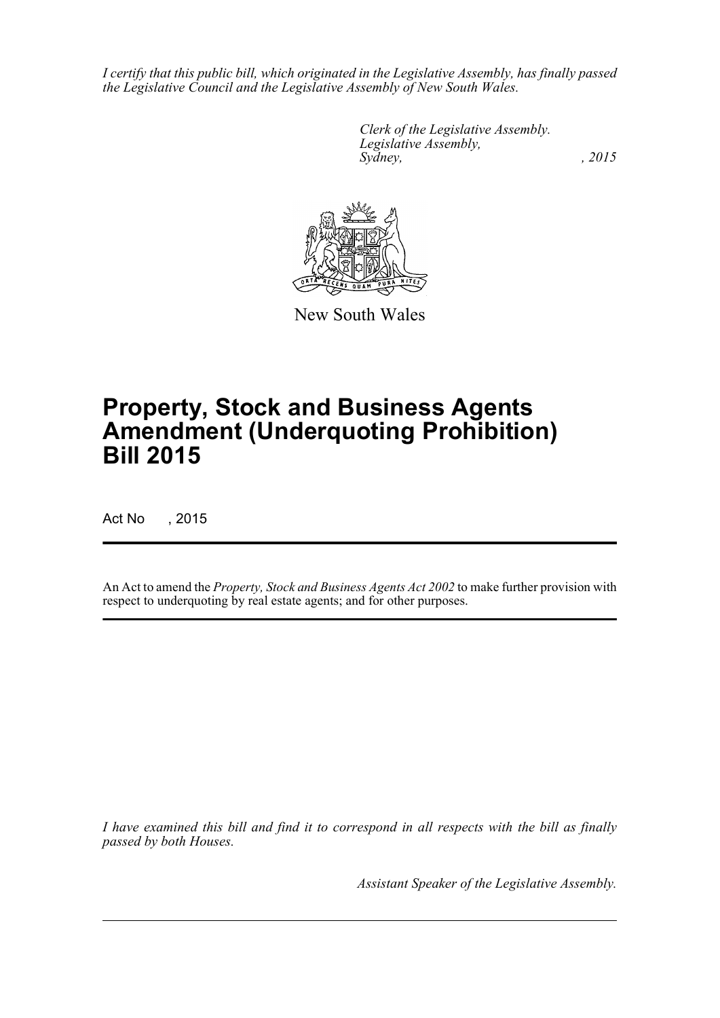*I certify that this public bill, which originated in the Legislative Assembly, has finally passed the Legislative Council and the Legislative Assembly of New South Wales.*

> *Clerk of the Legislative Assembly. Legislative Assembly, Sydney,* , 2015



New South Wales

# **Property, Stock and Business Agents Amendment (Underquoting Prohibition) Bill 2015**

Act No , 2015

An Act to amend the *Property, Stock and Business Agents Act 2002* to make further provision with respect to underquoting by real estate agents; and for other purposes.

*I have examined this bill and find it to correspond in all respects with the bill as finally passed by both Houses.*

*Assistant Speaker of the Legislative Assembly.*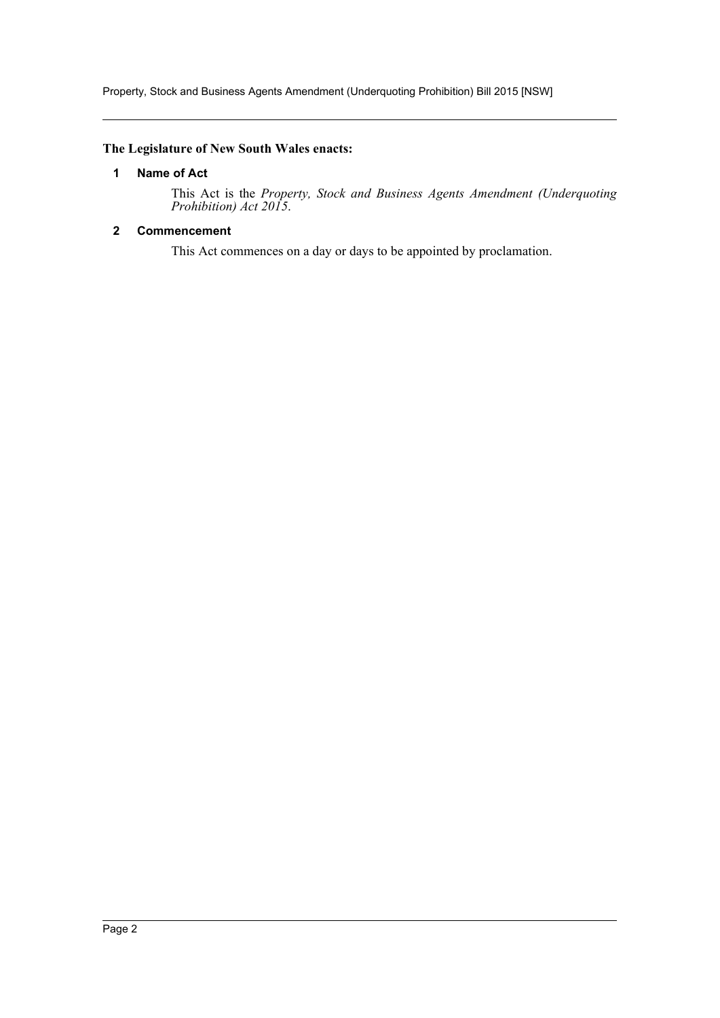Property, Stock and Business Agents Amendment (Underquoting Prohibition) Bill 2015 [NSW]

## <span id="page-2-0"></span>**The Legislature of New South Wales enacts:**

### **1 Name of Act**

This Act is the *Property, Stock and Business Agents Amendment (Underquoting Prohibition) Act 2015*.

## <span id="page-2-1"></span>**2 Commencement**

This Act commences on a day or days to be appointed by proclamation.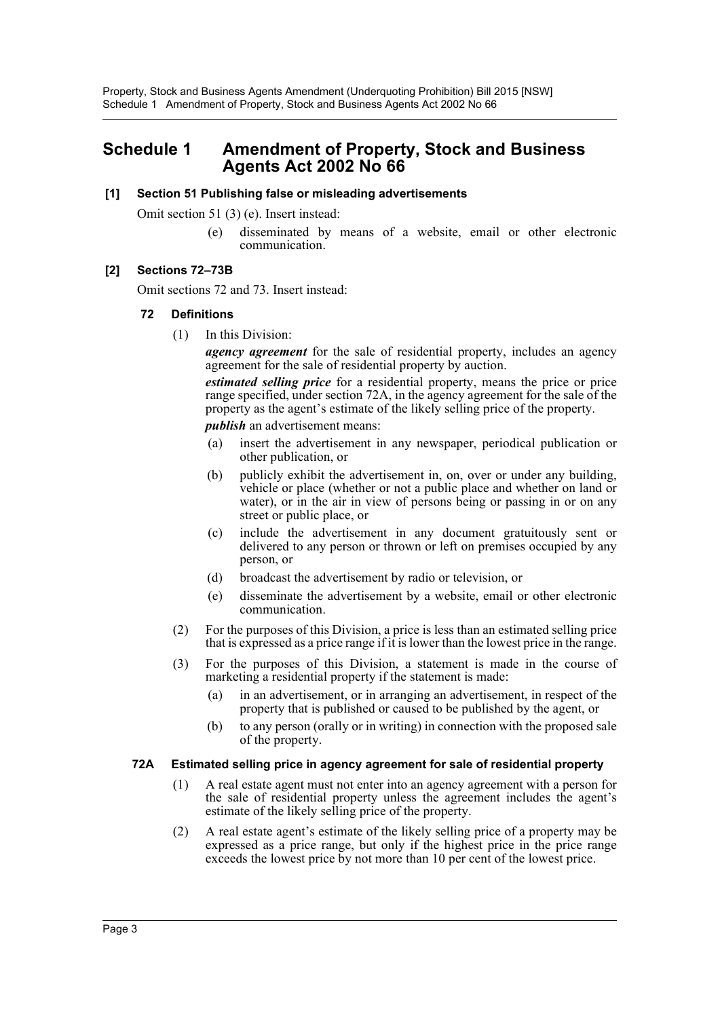Property, Stock and Business Agents Amendment (Underquoting Prohibition) Bill 2015 [NSW] Schedule 1 Amendment of Property, Stock and Business Agents Act 2002 No 66

## <span id="page-3-0"></span>**Schedule 1 Amendment of Property, Stock and Business Agents Act 2002 No 66**

#### **[1] Section 51 Publishing false or misleading advertisements**

Omit section 51 (3) (e). Insert instead:

(e) disseminated by means of a website, email or other electronic communication.

#### **[2] Sections 72–73B**

Omit sections 72 and 73. Insert instead:

#### **72 Definitions**

(1) In this Division:

*agency agreement* for the sale of residential property, includes an agency agreement for the sale of residential property by auction.

*estimated selling price* for a residential property, means the price or price range specified, under section 72A, in the agency agreement for the sale of the property as the agent's estimate of the likely selling price of the property.

*publish* an advertisement means:

- (a) insert the advertisement in any newspaper, periodical publication or other publication, or
- (b) publicly exhibit the advertisement in, on, over or under any building, vehicle or place (whether or not a public place and whether on land or water), or in the air in view of persons being or passing in or on any street or public place, or
- (c) include the advertisement in any document gratuitously sent or delivered to any person or thrown or left on premises occupied by any person, or
- (d) broadcast the advertisement by radio or television, or
- (e) disseminate the advertisement by a website, email or other electronic communication.
- (2) For the purposes of this Division, a price is less than an estimated selling price that is expressed as a price range if it is lower than the lowest price in the range.
- (3) For the purposes of this Division, a statement is made in the course of marketing a residential property if the statement is made:
	- (a) in an advertisement, or in arranging an advertisement, in respect of the property that is published or caused to be published by the agent, or
	- (b) to any person (orally or in writing) in connection with the proposed sale of the property.

#### **72A Estimated selling price in agency agreement for sale of residential property**

- (1) A real estate agent must not enter into an agency agreement with a person for the sale of residential property unless the agreement includes the agent's estimate of the likely selling price of the property.
- (2) A real estate agent's estimate of the likely selling price of a property may be expressed as a price range, but only if the highest price in the price range exceeds the lowest price by not more than 10 per cent of the lowest price.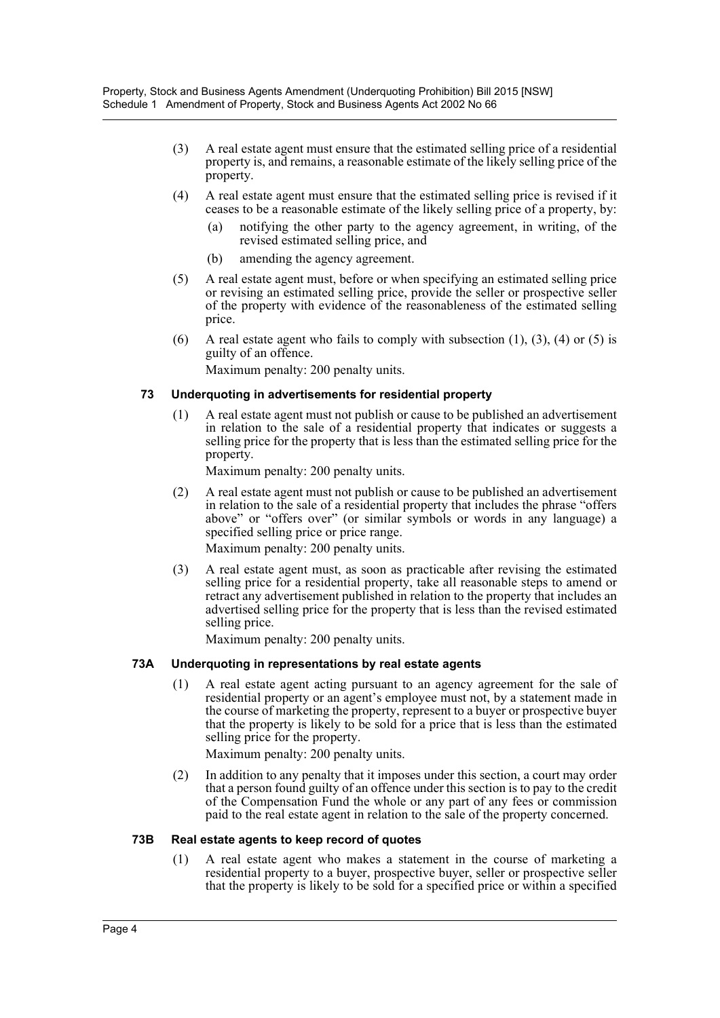- (3) A real estate agent must ensure that the estimated selling price of a residential property is, and remains, a reasonable estimate of the likely selling price of the property.
- (4) A real estate agent must ensure that the estimated selling price is revised if it ceases to be a reasonable estimate of the likely selling price of a property, by:
	- (a) notifying the other party to the agency agreement, in writing, of the revised estimated selling price, and
	- (b) amending the agency agreement.
- (5) A real estate agent must, before or when specifying an estimated selling price or revising an estimated selling price, provide the seller or prospective seller of the property with evidence of the reasonableness of the estimated selling price.
- (6) A real estate agent who fails to comply with subsection  $(1)$ ,  $(3)$ ,  $(4)$  or  $(5)$  is guilty of an offence.

Maximum penalty: 200 penalty units.

## **73 Underquoting in advertisements for residential property**

(1) A real estate agent must not publish or cause to be published an advertisement in relation to the sale of a residential property that indicates or suggests a selling price for the property that is less than the estimated selling price for the property.

Maximum penalty: 200 penalty units.

- (2) A real estate agent must not publish or cause to be published an advertisement in relation to the sale of a residential property that includes the phrase "offers above" or "offers over" (or similar symbols or words in any language) a specified selling price or price range. Maximum penalty: 200 penalty units.
- (3) A real estate agent must, as soon as practicable after revising the estimated selling price for a residential property, take all reasonable steps to amend or retract any advertisement published in relation to the property that includes an advertised selling price for the property that is less than the revised estimated selling price.

Maximum penalty: 200 penalty units.

## **73A Underquoting in representations by real estate agents**

(1) A real estate agent acting pursuant to an agency agreement for the sale of residential property or an agent's employee must not, by a statement made in the course of marketing the property, represent to a buyer or prospective buyer that the property is likely to be sold for a price that is less than the estimated selling price for the property.

Maximum penalty: 200 penalty units.

(2) In addition to any penalty that it imposes under this section, a court may order that a person found guilty of an offence under this section is to pay to the credit of the Compensation Fund the whole or any part of any fees or commission paid to the real estate agent in relation to the sale of the property concerned.

### **73B Real estate agents to keep record of quotes**

(1) A real estate agent who makes a statement in the course of marketing a residential property to a buyer, prospective buyer, seller or prospective seller that the property is likely to be sold for a specified price or within a specified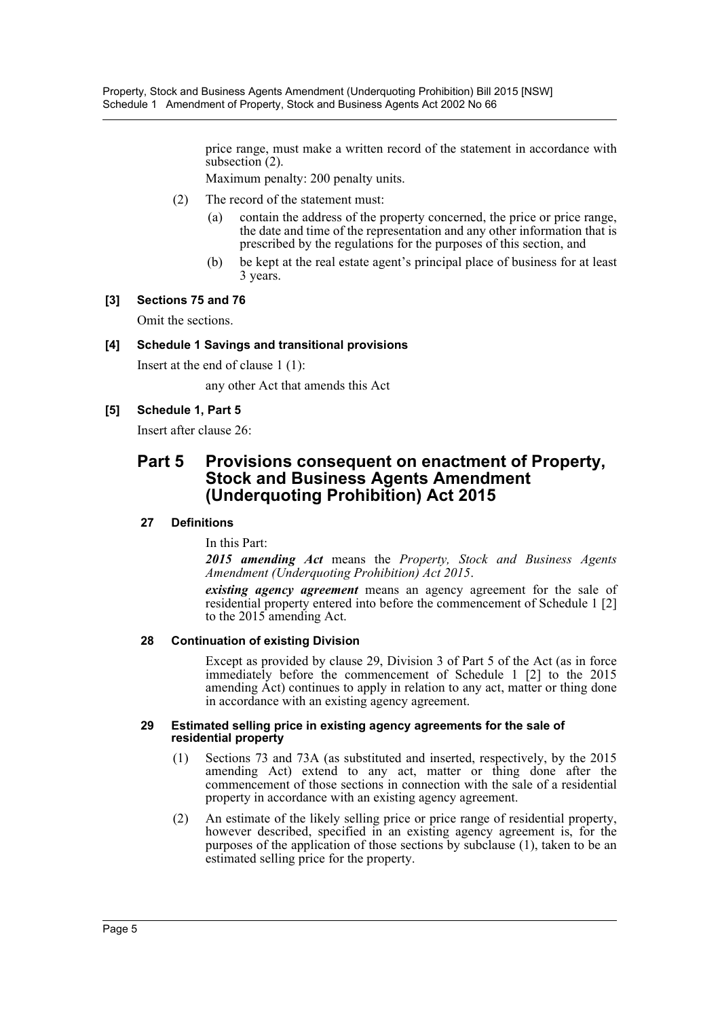Property, Stock and Business Agents Amendment (Underquoting Prohibition) Bill 2015 [NSW] Schedule 1 Amendment of Property, Stock and Business Agents Act 2002 No 66

> price range, must make a written record of the statement in accordance with subsection (2).

Maximum penalty: 200 penalty units.

- (2) The record of the statement must:
	- (a) contain the address of the property concerned, the price or price range, the date and time of the representation and any other information that is prescribed by the regulations for the purposes of this section, and
	- (b) be kept at the real estate agent's principal place of business for at least 3 years.

#### **[3] Sections 75 and 76**

Omit the sections.

#### **[4] Schedule 1 Savings and transitional provisions**

Insert at the end of clause 1 (1):

any other Act that amends this Act

#### **[5] Schedule 1, Part 5**

Insert after clause 26:

## **Part 5 Provisions consequent on enactment of Property, Stock and Business Agents Amendment (Underquoting Prohibition) Act 2015**

#### **27 Definitions**

In this Part:

*2015 amending Act* means the *Property, Stock and Business Agents Amendment (Underquoting Prohibition) Act 2015*.

*existing agency agreement* means an agency agreement for the sale of residential property entered into before the commencement of Schedule 1 [2] to the 2015 amending Act.

#### **28 Continuation of existing Division**

Except as provided by clause 29, Division 3 of Part 5 of the Act (as in force immediately before the commencement of Schedule 1 [2] to the 2015 amending Act) continues to apply in relation to any act, matter or thing done in accordance with an existing agency agreement.

#### **29 Estimated selling price in existing agency agreements for the sale of residential property**

- (1) Sections 73 and 73A (as substituted and inserted, respectively, by the 2015 amending Act) extend to any act, matter or thing done after the commencement of those sections in connection with the sale of a residential property in accordance with an existing agency agreement.
- (2) An estimate of the likely selling price or price range of residential property, however described, specified in an existing agency agreement is, for the purposes of the application of those sections by subclause (1), taken to be an estimated selling price for the property.